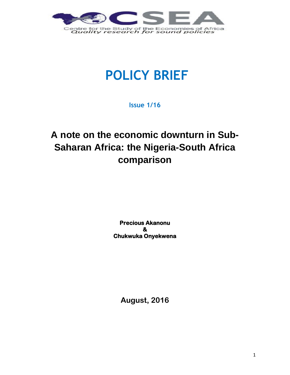

# **POLICY BRIEF**

**Issue 1/16**

# **A note on the economic downturn in Sub-Saharan Africa: the Nigeria-South Africa comparison**

**Precious Akanonu & Chukwuka Onyekwena** 

**August, 2016**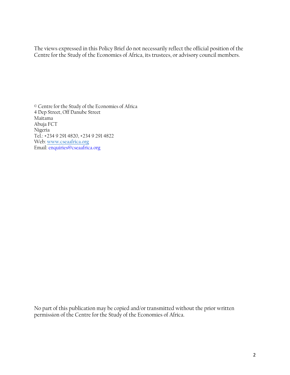The views expressed in this Policy Brief do not necessarily reflect the official position of the Centre for the Study of the Economies of Africa, its trustees, or advisory council members.

© Centre for the Study of the Economies of Africa 4 Dep Street, Off Danube Street Maitama Abuja FCT Nigeria Tel.: +234 9 291 4820, +234 9 291 4822 Web: [www.cseaafrica.org](http://www.cseaafrica.org/) Email: enquiries@cseaafrica.org

No part of this publication may be copied and/or transmitted without the prior written permission of the Centre for the Study of the Economies of Africa.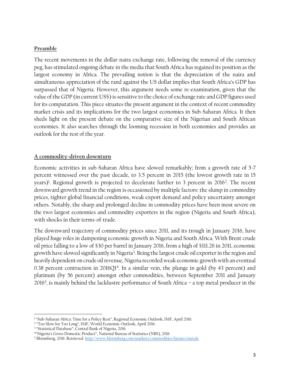### **Preamble**

The recent movements in the dollar-naira exchange rate, following the removal of the currency peg, has stimulated ongoing debate in the media that South Africa has regained its position as the largest economy in Africa. The prevailing notion is that the depreciation of the naira and simultaneous appreciation of the rand against the US dollar implies that South Africa's GDP has surpassed that of Nigeria. However, this argument needs some re-examination, given that the value of the GDP (in current US\$) is sensitive to the choice of exchange rate and GDP figures used for its computation. This piece situates the present argument in the context of recent commodity market crisis and its implications for the two largest economies in Sub-Saharan Africa. It then sheds light on the present debate on the comparative size of the Nigerian and South African economies. It also searches through the looming recession in both economies and provides an outlook for the rest of the year.

# **A commodity-driven downturn**

Economic activities in sub-Saharan Africa have slowed remarkably; from a growth rate of 5-7 percent witnessed over the past decade, to 3.5 percent in 2015 (the lowest growth rate in 15 years)<sup>1</sup>. Regional growth is projected to decelerate further to 3 percent in 2016<sup>2</sup>. The recent downward growth trend in the region is occasioned by multiple factors: the slump in commodity prices, tighter global financial conditions, weak export demand and policy uncertainty amongst others. Notably, the sharp and prolonged decline in commodity prices have been most severe on the two largest economies and commodity exporters in the region (Nigeria and South Africa), with shocks in their terms-of-trade.

The downward trajectory of commodity prices since 2011, and its trough in January 2016, have played huge roles in dampening economic growth in Nigeria and South Africa. With Brent crude oil price falling to a low of \$30 per barrel in January 2016, from a high of \$111.26 in 2011, economic growth have slowed significantly in Nigeria<sup>3</sup>. Being the largest crude oil exporter in the region and heavily dependent on crude oil revenue, Nigeria recorded weak economic growth with an eventual 0.38 percent contraction in 2016 $Q1<sup>4</sup>$ . In a similar vein, the plunge in gold (by 43 percent) and platinum (by 56 percent) amongst other commodities, between September 2011 and January 2016<sup>5</sup> , is mainly behind the lacklustre performance of South Africa – a top metal producer in the

 $\overline{\phantom{a}}$ 

<sup>&</sup>lt;sup>1</sup> "Sub-Saharan Africa: Time for a Policy Rest", Regional Economic Outlook, IMF, April 2016.

<sup>2</sup> "Too Slow for Too Long", IMF, World Economic Outlook, April 2016.

<sup>3</sup> "Statistical Database", Central Bank of Nigeria, 2016.

<sup>4</sup> "Nigeria's Gross Domestic Product", National Bureau of Statistics (NBS), 2016

<sup>5</sup> Bloomberg, 2016. Retrieved:<http://www.bloomberg.com/markets/commodities/futures/metals>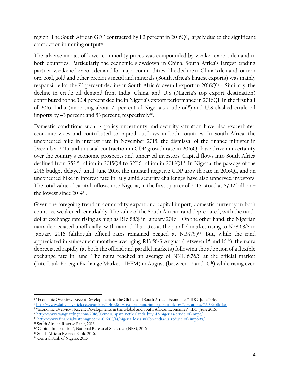region. The South African GDP contracted by 1.2 percent in 2016Q1, largely due to the significant contraction in mining output<sup>6</sup>.

The adverse impact of lower commodity prices was compounded by weaker export demand in both countries. Particularly the economic slowdown in China, South Africa's largest trading partner, weakened export demand for major commodities. The decline in China's demand for iron ore, coal, gold and other precious metal and minerals (South Africa's largest exports) was mainly responsible for the 7.1 percent decline in South Africa's overall export in 2016Q17,8. Similarly, the decline in crude oil demand from India, China, and U.S (Nigeria's top export destination) contributed to the 30.4 percent decline in Nigeria's export performance in 2016Q1. In the first half of 2016, India (importing about 21 percent of Nigeria's crude oil<sup>9</sup>) and U.S slashed crude oil imports by 43 percent and 53 percent, respectively $^{10}$ .

Domestic conditions such as policy uncertainty and security situation have also exacerbated economic woes and contributed to capital outflows in both countries. In South Africa, the unexpected hike in interest rate in November 2015, the dismissal of the finance minister in December 2015 and unusual contraction in GDP growth rate in 2016Q1 have driven uncertainty over the country's economic prospects and unnerved investors. Capital flows into South Africa declined from \$53.5 billion in 2015Q4 to \$27.6 billion in 2016Q1<sup>11</sup>. In Nigeria, the passage of the 2016 budget delayed until June 2016, the unusual negative GDP growth rate in 2016Q1, and an unexpected hike in interest rate in July amid security challenges have also unnerved investors. The total value of capital inflows into Nigeria, in the first quarter of 2016, stood at \$7.12 billion – the lowest since 2014<sup>12</sup> .

Given the foregoing trend in commodity export and capital import, domestic currency in both countries weakened remarkably. The value of the South African rand depreciated; with the randdollar exchange rate rising as high as R16.88/\$ in January 2016<sup>13</sup> . On the other hand, the Nigerian naira depreciated unofficially; with naira-dollar rates at the parallel market rising to N289.8/\$ in January 2016 (although official rates remained pegged at N197/\$)<sup>14</sup>. But, while the rand appreciated in subsequent months– averaging R13.56/\$ August (between  $1<sup>st</sup>$  and  $16<sup>th</sup>$ ), the naira depreciated rapidly (at both the official and parallel markets) following the adoption of a flexible exchange rate in June. The naira reached an average of N311.16.76/\$ at the official market (Interbank Foreign Exchange Market - IFEM) in August (between 1st and 16th) while rising even

8 "Economic Overview: Recent Developments in the Global and South African Economies", IDC, June 2016. <sup>9</sup> <http://www.vanguardngr.com/2016/08/india-spain-netherlands-buy-43-nigerias-crude-oil-nnpc/> <sup>10</sup> <http://www.financialwatchngr.com/2016/08/14/nigeria-loses-n88bn-india-us-reduce-oil-imports/>

 $\overline{\phantom{a}}$ 6 "Economic Overview: Recent Developments in the Global and South African Economies", IDC, June 2016.

<sup>7</sup> <http://www.dailymaverick.co.za/article/2016-06-08-exports-and-imports-shrink-by-7.1-stats-sa/#.V7BvofkrJac>

<sup>&</sup>lt;sup>11</sup> South African Reserve Bank, 2016.

<sup>12</sup>"Capital Importation", National Bureau of Statistics (NBS), 2016

<sup>&</sup>lt;sup>13</sup> South African Reserve Bank, 2016.

<sup>14</sup> Central Bank of Nigeria, 2016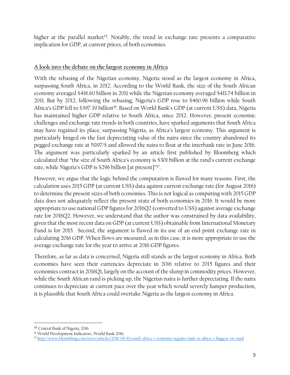higher at the parallel market<sup>15</sup>. Notably, the trend in exchange rate presents a comparative implication for GDP, at current prices, of both economies.

# **A look into the debate on the largest economy in Africa**

With the rebasing of the Nigerian economy, Nigeria stood as the largest economy in Africa, surpassing South Africa, in 2012. According to the World Bank, the size of the South African economy averaged \$416.60 billion in 2011 while the Nigerian economy averaged \$411.74 billion in 2011. But by 2012, following the rebasing, Nigeria's GDP rose to \$460.96 billion while South Africa's GDP fell to \$397.39 billion<sup>16</sup>. Based on World Bank's GDP (at current US\$) data, Nigeria has maintained higher GDP relative to South Africa, since 2012. However, present economic challenges and exchange rate trends in both countries, have sparked arguments that South Africa may have regained its place; surpassing Nigeria, as Africa's largest economy. This argument is particularly hinged on the fast depreciating value of the naira since the country abandoned its pegged exchange rate at N197/\$ and allowed the naira to float at the interbank rate in June 2016. The argument was particularly sparked by an article first published by Bloomberg which calculated that "the size of South Africa's economy is \$301 billion at the rand's current exchange rate, while Nigeria's GDP is \$296 billion [at present]"<sup>17</sup>.

However, we argue that the logic behind the computation is flawed for many reasons. First, the calculation uses 2015 GDP (at current US\$) data against current exchange rate (for August 2016) to determine the present sizes of both economies. This is not logical as computing with 2015 GDP data does not adequately reflect the present state of both economies in 2016. It would be more appropriate to use national GDP figures for 2016Q2 (converted to US\$) against average exchange rate for 2016Q2. However, we understand that the author was constrained by data availability, given that the most recent data on GDP (at current US\$) obtainable from International Monetary Fund is for 2015. Second, the argument is flawed in its use of an end-point exchange rate in calculating 2016 GDP. When flows are measured, as in this case, it is more appropriate to use the average exchange rate for the year to arrive at 2016 GDP figures.

Therefore, as far as data is concerned, Nigeria still stands as the largest economy in Africa. Both economies have seen their currencies depreciate in 2016 relative to 2015 figures and their economies contract in 2016Q1, largely on the account of the slump in commodity prices. However, while the South African rand is picking up, the Nigerian naira is further depreciating. If the naira continues to depreciate at current pace over the year which would severely hamper production, it is plausible that South Africa could overtake Nigeria as the largest economy in Africa.

l

<sup>15</sup> Central Bank of Nigeria, 2016

<sup>16</sup> World Development Indicators, World Bank 2016.

<sup>17</sup> <http://www.bloomberg.com/news/articles/2016-08-10/south-africa-s-economy-regains-rank-as-africa-s-biggest-on-rand>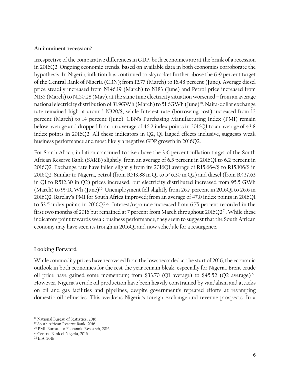### **An imminent recession?**

Irrespective of the comparative differences in GDP, both economies are at the brink of a recession in 2016Q2. Ongoing economic trends, based on available data in both economies corroborate the hypothesis. In Nigeria, inflation has continued to skyrocket further above the 6-9 percent target of the Central Bank of Nigeria (CBN); from 12.77 (March) to 16.48 percent (June). Average diesel price steadily increased from N146.19 (March) to N183 (June) and Petrol price increased from N135 (March) to N150.28 (May), at the same time electricity situation worsened – from an average national electricity distribution of 81.9GWh (March) to 51.6GWh (June)<sup>18</sup> . Naira-dollar exchange rate remained high at around N320/\$, while Interest rate (borrowing cost) increased from 12 percent (March) to 14 percent (June). CBN's Purchasing Manufacturing Index (PMI) remain below average and dropped from an average of 46.2 index points in 2016Q1 to an average of 43.8 index points in 2016Q2. All these indicators in Q2, Q1 lagged effects inclusive, suggests weak business performance and most likely a negative GDP growth in 2016Q2.

For South Africa, inflation continued to rise above the 3-6 percent inflation target of the South African Reserve Bank (SARB) slightly; from an average of 6.5 percent in 2016Q1 to 6.2 percent in 2016Q2. Exchange rate have fallen slightly from its 2016Q1 average of R15.664/\$ to R15.106/\$ in 2016Q2. Similar to Nigeria, petrol (from R513.88 in Q1 to 546.30 in Q2) and diesel (from R437.63 in Q1 to R512.30 in Q2) prices increased, but electricity distributed increased from 95.5 GWh (March) to 99.1GWh (June)<sup>19</sup>. Unemployment fell slightly from 26.7 percent in 2016Q1 to 26.6 in 2016Q2. Barclay's PMI for South Africa improved; from an average of 47.0 index points in 2016Q1 to 53.5 index points in 2016Q2<sup>20</sup>. Interest/repo rate increased from 6.75 percent recorded in the first two months of 2016 but remained at 7 percent from March throughout 2016Q2<sup>21</sup>. While these indicators point towards weak business performance, they seem to suggest that the South African economy may have seen its trough in 2016Q1 and now schedule for a resurgence.

# **Looking Forward**

While commodity prices have recovered from the lows recorded at the start of 2016, the economic outlook in both economies for the rest the year remain bleak, especially for Nigeria. Brent crude oil price have gained some momentum; from \$33.70 (Q1 average) to \$45.52 (Q2 average) 22 . However, Nigeria's crude oil production have been heavily constrained by vandalism and attacks on oil and gas facilities and pipelines, despite government's repeated efforts at revamping domestic oil refineries. This weakens Nigeria's foreign exchange and revenue prospects. In a

 $\overline{\phantom{a}}$ <sup>18</sup> National Bureau of Statistics, 2016

<sup>19</sup> South African Reserve Bank, 2016

<sup>20</sup> PMI, Bureau for Economic Research, 2016

<sup>21</sup> Central Bank of Nigeria, 2016

<sup>22</sup> EIA, 2016